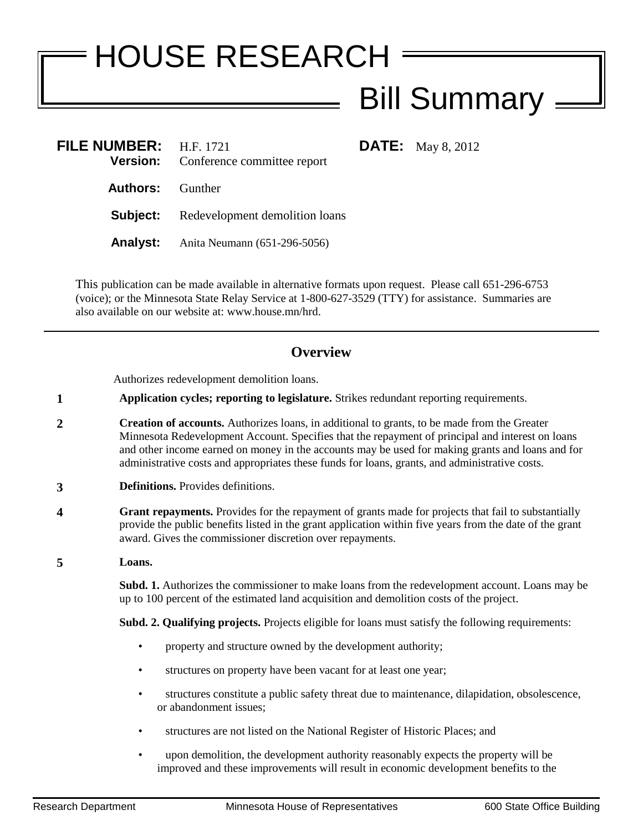## HOUSE RESEARCH Bill Summary

**DATE:** May 8, 2012

| FILE NUMBER: $H.F. 1721$ | <b>Version:</b> Conference committee report    |
|--------------------------|------------------------------------------------|
| <b>Authors:</b> Gunther  |                                                |
|                          | <b>Subject:</b> Redevelopment demolition loans |
|                          | <b>Analyst:</b> Anita Neumann (651-296-5056)   |
|                          |                                                |

This publication can be made available in alternative formats upon request. Please call 651-296-6753 (voice); or the Minnesota State Relay Service at 1-800-627-3529 (TTY) for assistance. Summaries are also available on our website at: www.house.mn/hrd.

## **Overview**

Authorizes redevelopment demolition loans.

- **1 Application cycles; reporting to legislature.** Strikes redundant reporting requirements.
- **2 Creation of accounts.** Authorizes loans, in additional to grants, to be made from the Greater Minnesota Redevelopment Account. Specifies that the repayment of principal and interest on loans and other income earned on money in the accounts may be used for making grants and loans and for administrative costs and appropriates these funds for loans, grants, and administrative costs.
- **3 Definitions.** Provides definitions.
- **4 Grant repayments.** Provides for the repayment of grants made for projects that fail to substantially provide the public benefits listed in the grant application within five years from the date of the grant award. Gives the commissioner discretion over repayments.
- **5 Loans.**

**Subd. 1.** Authorizes the commissioner to make loans from the redevelopment account. Loans may be up to 100 percent of the estimated land acquisition and demolition costs of the project.

**Subd. 2. Qualifying projects.** Projects eligible for loans must satisfy the following requirements:

- property and structure owned by the development authority;
- structures on property have been vacant for at least one year;
- structures constitute a public safety threat due to maintenance, dilapidation, obsolescence, or abandonment issues;
- structures are not listed on the National Register of Historic Places; and
- upon demolition, the development authority reasonably expects the property will be improved and these improvements will result in economic development benefits to the